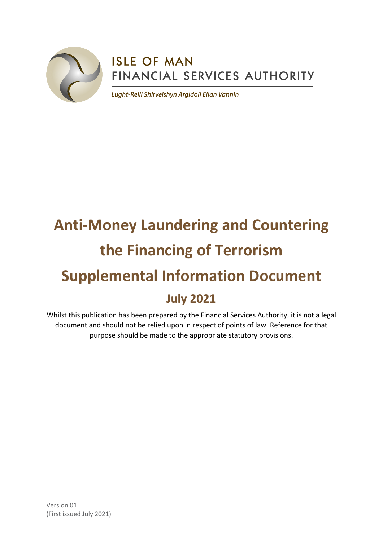

# **ISLE OF MAN** FINANCIAL SERVICES AUTHORITY

Lught-Reill Shirveishyn Argidoil Ellan Vannin

# **Anti-Money Laundering and Countering the Financing of Terrorism Supplemental Information Document July 2021**

Whilst this publication has been prepared by the Financial Services Authority, it is not a legal document and should not be relied upon in respect of points of law. Reference for that purpose should be made to the appropriate statutory provisions.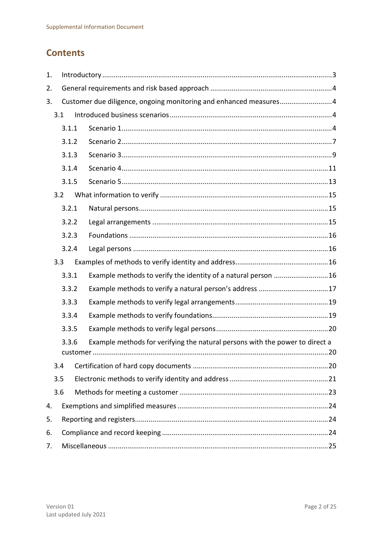# **Contents**

| 1.    |                                                                   |  |                                                                              |  |  |  |
|-------|-------------------------------------------------------------------|--|------------------------------------------------------------------------------|--|--|--|
| 2.    |                                                                   |  |                                                                              |  |  |  |
| 3.    | Customer due diligence, ongoing monitoring and enhanced measures4 |  |                                                                              |  |  |  |
|       | 3.1                                                               |  |                                                                              |  |  |  |
|       | 3.1.1                                                             |  |                                                                              |  |  |  |
| 3.1.2 |                                                                   |  |                                                                              |  |  |  |
|       | 3.1.3                                                             |  |                                                                              |  |  |  |
|       | 3.1.4                                                             |  |                                                                              |  |  |  |
|       | 3.1.5                                                             |  |                                                                              |  |  |  |
|       | 3.2                                                               |  |                                                                              |  |  |  |
|       | 3.2.1                                                             |  |                                                                              |  |  |  |
|       | 3.2.2                                                             |  |                                                                              |  |  |  |
|       | 3.2.3                                                             |  |                                                                              |  |  |  |
|       | 3.2.4                                                             |  |                                                                              |  |  |  |
|       | 3.3                                                               |  |                                                                              |  |  |  |
|       | 3.3.1                                                             |  | Example methods to verify the identity of a natural person  16               |  |  |  |
|       | 3.3.2                                                             |  | Example methods to verify a natural person's address 17                      |  |  |  |
|       | 3.3.3                                                             |  |                                                                              |  |  |  |
|       | 3.3.4                                                             |  |                                                                              |  |  |  |
|       | 3.3.5                                                             |  |                                                                              |  |  |  |
|       | 3.3.6                                                             |  | Example methods for verifying the natural persons with the power to direct a |  |  |  |
|       | 3.4                                                               |  |                                                                              |  |  |  |
|       | 3.5                                                               |  |                                                                              |  |  |  |
|       | 3.6                                                               |  |                                                                              |  |  |  |
| 4.    |                                                                   |  |                                                                              |  |  |  |
| 5.    |                                                                   |  |                                                                              |  |  |  |
| 6.    |                                                                   |  |                                                                              |  |  |  |
| 7.    |                                                                   |  |                                                                              |  |  |  |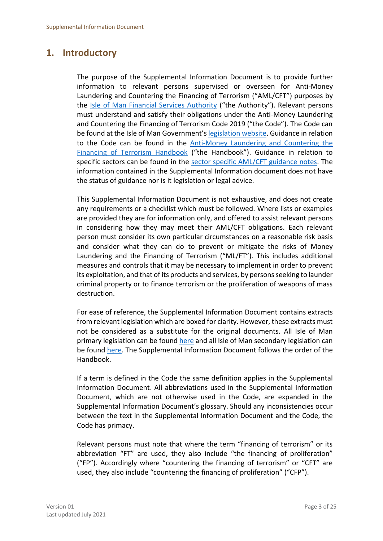# <span id="page-2-0"></span>**1. Introductory**

The purpose of the Supplemental Information Document is to provide further information to relevant persons supervised or overseen for Anti-Money Laundering and Countering the Financing of Terrorism ("AML/CFT") purposes by the [Isle of Man Financial Services Authority](https://www.iomfsa.im/) ("the Authority"). Relevant persons must understand and satisfy their obligations under the Anti-Money Laundering and Countering the Financing of Terrorism Code 2019 ("the Code"). The Code can be found at the Isle of Man Government's [legislation website.](https://legislation.gov.im/cms/) Guidance in relation to the Code can be found in the [Anti-Money Laundering](https://www.iomfsa.im/amlcft/amlcft-requirements-and-guidance/) and Countering the [Financing of Terrorism Handbook](https://www.iomfsa.im/amlcft/amlcft-requirements-and-guidance/) ("the Handbook"). Guidance in relation to specific sectors can be found in the [sector specific AML/CFT guidance notes.](https://www.iomfsa.im/amlcft/amlcft-requirements-and-guidance/) The information contained in the Supplemental Information document does not have the status of guidance nor is it legislation or legal advice.

This Supplemental Information Document is not exhaustive, and does not create any requirements or a checklist which must be followed. Where lists or examples are provided they are for information only, and offered to assist relevant persons in considering how they may meet their AML/CFT obligations. Each relevant person must consider its own particular circumstances on a reasonable risk basis and consider what they can do to prevent or mitigate the risks of Money Laundering and the Financing of Terrorism ("ML/FT"). This includes additional measures and controls that it may be necessary to implement in order to prevent its exploitation, and that of its products and services, by persons seeking to launder criminal property or to finance terrorism or the proliferation of weapons of mass destruction.

For ease of reference, the Supplemental Information Document contains extracts from relevant legislation which are boxed for clarity. However, these extracts must not be considered as a substitute for the original documents. All Isle of Man primary legislation can be found [here](https://legislation.gov.im/cms/) and all Isle of Man secondary legislation can be found [here.](https://www.tynwald.org.im/links/tls/SD/Pages/default.aspx) The Supplemental Information Document follows the order of the Handbook.

If a term is defined in the Code the same definition applies in the Supplemental Information Document. All abbreviations used in the Supplemental Information Document, which are not otherwise used in the Code, are expanded in the Supplemental Information Document's glossary. Should any inconsistencies occur between the text in the Supplemental Information Document and the Code, the Code has primacy.

Relevant persons must note that where the term "financing of terrorism" or its abbreviation "FT" are used, they also include "the financing of proliferation" ("FP"). Accordingly where "countering the financing of terrorism" or "CFT" are used, they also include "countering the financing of proliferation" ("CFP").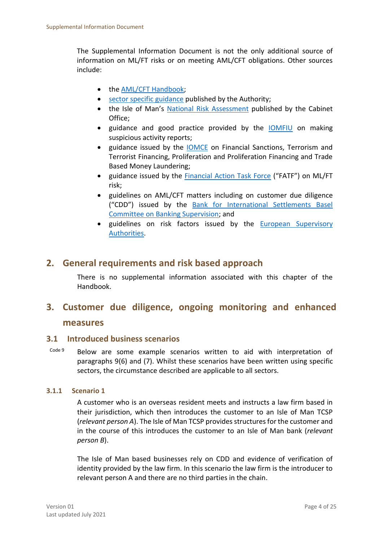The Supplemental Information Document is not the only additional source of information on ML/FT risks or on meeting AML/CFT obligations. Other sources include:

- the [AML/CFT Handbook;](https://www.iomfsa.im/amlcft/amlcft-requirements-and-guidance/)
- [sector specific guidance](https://www.iomfsa.im/amlcft/amlcft-requirements-and-guidance/) published by the Authority;
- the Isle of Man's [National Risk Assessment](https://www.gov.im/media/1367979/isle-of-man-national-risk-assessment-2020-updated-140120.pdf) published by the Cabinet Office;
- guidance and good practice provided by the [IOMFIU](https://www.fiu.im/) on making suspicious activity reports;
- guidance issued by the [IOMCE](https://www.gov.im/categories/tax-vat-and-your-money/customs-and-excise/sanctions-and-export-control/) on Financial Sanctions, Terrorism and Terrorist Financing, Proliferation and Proliferation Financing and Trade Based Money Laundering;
- guidance issued by the [Financial Action Task Force](https://www.fatf-gafi.org/) ("FATF") on ML/FT risk;
- guidelines on AML/CFT matters including on customer due diligence ("CDD") issued by the [Bank for International Settlements Basel](https://www.bis.org/bcbs/)  Committee on [Banking Supervision;](https://www.bis.org/bcbs/) and
- guidelines on risk factors issued by the European Supervisory [Authorities.](https://ec.europa.eu/info/business-economy-euro/banking-and-finance/financial-supervision-and-risk-management/european-system-financial-supervision_en)

# <span id="page-3-0"></span>**2. General requirements and risk based approach**

There is no supplemental information associated with this chapter of the Handbook.

# <span id="page-3-1"></span>**3. Customer due diligence, ongoing monitoring and enhanced**

## **measures**

#### <span id="page-3-2"></span>**3.1 Introduced business scenarios**

Code 9 Below are some example scenarios written to aid with interpretation of paragraphs 9(6) and (7). Whilst these scenarios have been written using specific sectors, the circumstance described are applicable to all sectors.

#### <span id="page-3-3"></span>**3.1.1 Scenario 1**

A customer who is an overseas resident meets and instructs a law firm based in their jurisdiction, which then introduces the customer to an Isle of Man TCSP (*relevant person A*). The Isle of Man TCSP provides structures for the customer and in the course of this introduces the customer to an Isle of Man bank (*relevant person B*).

The Isle of Man based businesses rely on CDD and evidence of verification of identity provided by the law firm. In this scenario the law firm is the introducer to relevant person A and there are no third parties in the chain.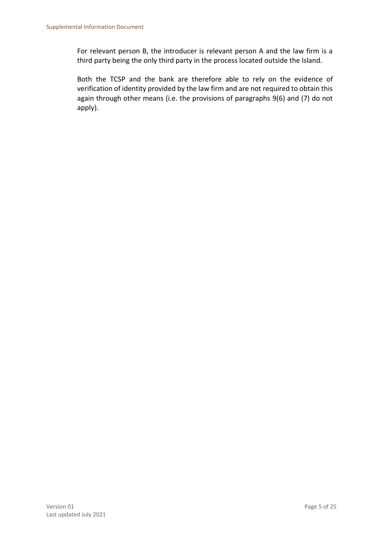For relevant person B, the introducer is relevant person A and the law firm is a third party being the only third party in the process located outside the Island.

Both the TCSP and the bank are therefore able to rely on the evidence of verification of identity provided by the law firm and are not required to obtain this again through other means (i.e. the provisions of paragraphs 9(6) and (7) do not apply).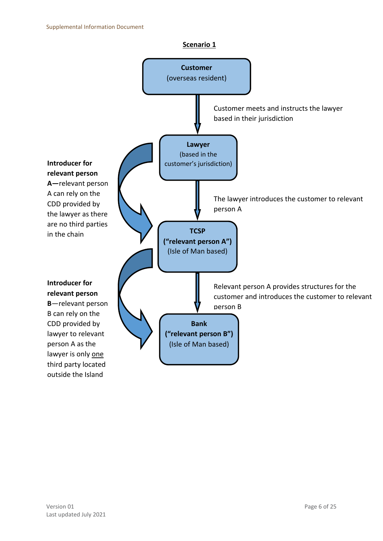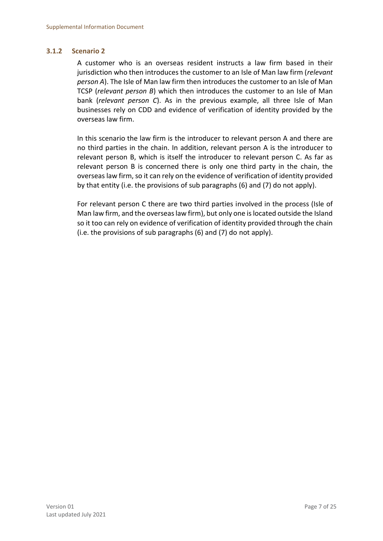#### <span id="page-6-0"></span>**3.1.2 Scenario 2**

A customer who is an overseas resident instructs a law firm based in their jurisdiction who then introduces the customer to an Isle of Man law firm (*relevant person A*). The Isle of Man law firm then introduces the customer to an Isle of Man TCSP (*relevant person B*) which then introduces the customer to an Isle of Man bank (*relevant person C*). As in the previous example, all three Isle of Man businesses rely on CDD and evidence of verification of identity provided by the overseas law firm.

In this scenario the law firm is the introducer to relevant person A and there are no third parties in the chain. In addition, relevant person A is the introducer to relevant person B, which is itself the introducer to relevant person C. As far as relevant person B is concerned there is only one third party in the chain, the overseas law firm, so it can rely on the evidence of verification of identity provided by that entity (i.e. the provisions of sub paragraphs (6) and (7) do not apply).

For relevant person C there are two third parties involved in the process (Isle of Man law firm, and the overseas law firm), but only one is located outside the Island so it too can rely on evidence of verification of identity provided through the chain (i.e. the provisions of sub paragraphs (6) and (7) do not apply).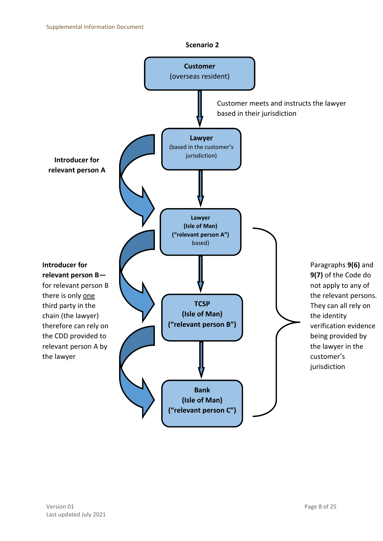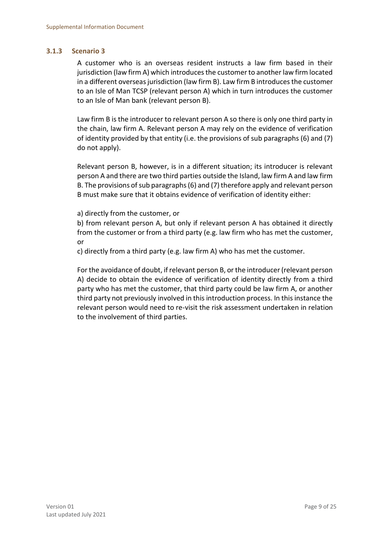#### <span id="page-8-0"></span>**3.1.3 Scenario 3**

A customer who is an overseas resident instructs a law firm based in their jurisdiction (law firm A) which introduces the customer to another law firm located in a different overseas jurisdiction (law firm B). Law firm B introduces the customer to an Isle of Man TCSP (relevant person A) which in turn introduces the customer to an Isle of Man bank (relevant person B).

Law firm B is the introducer to relevant person A so there is only one third party in the chain, law firm A. Relevant person A may rely on the evidence of verification of identity provided by that entity (i.e. the provisions of sub paragraphs (6) and (7) do not apply).

Relevant person B, however, is in a different situation; its introducer is relevant person A and there are two third parties outside the Island, law firm A and law firm B. The provisions of sub paragraphs (6) and (7) therefore apply and relevant person B must make sure that it obtains evidence of verification of identity either:

a) directly from the customer, or

b) from relevant person A, but only if relevant person A has obtained it directly from the customer or from a third party (e.g. law firm who has met the customer, or

c) directly from a third party (e.g. law firm A) who has met the customer.

For the avoidance of doubt, if relevant person B, or the introducer (relevant person A) decide to obtain the evidence of verification of identity directly from a third party who has met the customer, that third party could be law firm A, or another third party not previously involved in this introduction process. In this instance the relevant person would need to re-visit the risk assessment undertaken in relation to the involvement of third parties.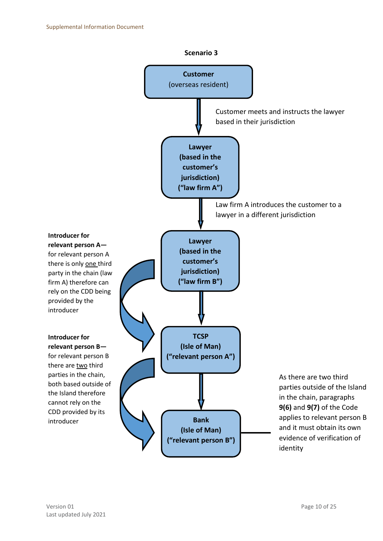

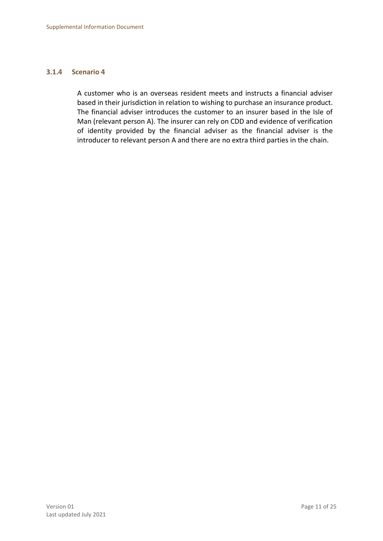#### <span id="page-10-0"></span>**3.1.4 Scenario 4**

A customer who is an overseas resident meets and instructs a financial adviser based in their jurisdiction in relation to wishing to purchase an insurance product. The financial adviser introduces the customer to an insurer based in the Isle of Man (relevant person A). The insurer can rely on CDD and evidence of verification of identity provided by the financial adviser as the financial adviser is the introducer to relevant person A and there are no extra third parties in the chain.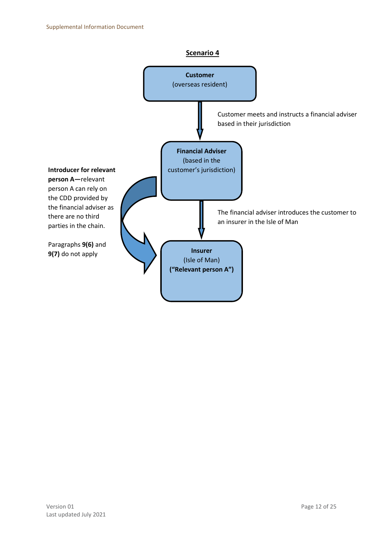#### **Scenario 4**

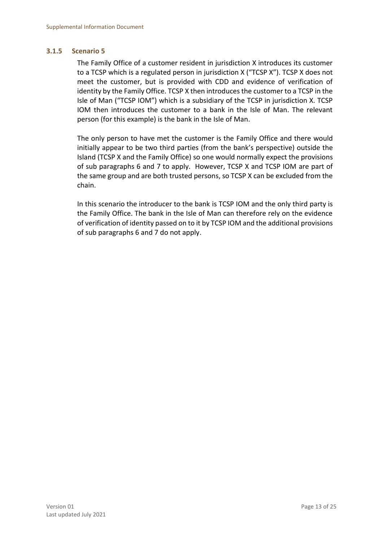#### <span id="page-12-0"></span>**3.1.5 Scenario 5**

The Family Office of a customer resident in jurisdiction X introduces its customer to a TCSP which is a regulated person in jurisdiction X ("TCSP X"). TCSP X does not meet the customer, but is provided with CDD and evidence of verification of identity by the Family Office. TCSP X then introduces the customer to a TCSP in the Isle of Man ("TCSP IOM") which is a subsidiary of the TCSP in jurisdiction X. TCSP IOM then introduces the customer to a bank in the Isle of Man. The relevant person (for this example) is the bank in the Isle of Man.

The only person to have met the customer is the Family Office and there would initially appear to be two third parties (from the bank's perspective) outside the Island (TCSP X and the Family Office) so one would normally expect the provisions of sub paragraphs 6 and 7 to apply. However, TCSP X and TCSP IOM are part of the same group and are both trusted persons, so TCSP X can be excluded from the chain.

In this scenario the introducer to the bank is TCSP IOM and the only third party is the Family Office. The bank in the Isle of Man can therefore rely on the evidence of verification of identity passed on to it by TCSP IOM and the additional provisions of sub paragraphs 6 and 7 do not apply.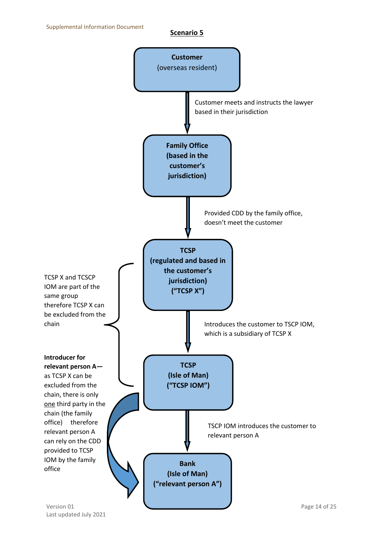#### **Scenario 5**

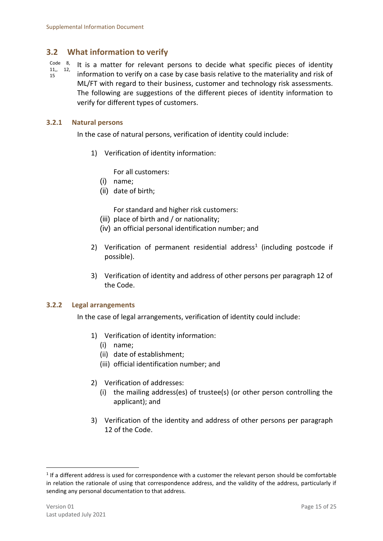# <span id="page-14-0"></span>**3.2 What information to verify**

Code 8, 11,, 12, 15 It is a matter for relevant persons to decide what specific pieces of identity information to verify on a case by case basis relative to the materiality and risk of ML/FT with regard to their business, customer and technology risk assessments. The following are suggestions of the different pieces of identity information to verify for different types of customers.

#### <span id="page-14-1"></span>**3.2.1 Natural persons**

In the case of natural persons, verification of identity could include:

1) Verification of identity information:

For all customers:

- (i) name;
- (ii) date of birth;

For standard and higher risk customers:

- (iii) place of birth and / or nationality;
- (iv) an official personal identification number; and
- 2) Verification of permanent residential address<sup>1</sup> (including postcode if possible).
- 3) Verification of identity and address of other persons per paragraph 12 of the Code.

#### <span id="page-14-2"></span>**3.2.2 Legal arrangements**

In the case of legal arrangements, verification of identity could include:

- 1) Verification of identity information:
	- (i) name;
	- (ii) date of establishment;
	- (iii) official identification number; and
- 2) Verification of addresses:
	- (i) the mailing address(es) of trustee(s) (or other person controlling the applicant); and
- 3) Verification of the identity and address of other persons per paragraph 12 of the Code.

1

 $<sup>1</sup>$  If a different address is used for correspondence with a customer the relevant person should be comfortable</sup> in relation the rationale of using that correspondence address, and the validity of the address, particularly if sending any personal documentation to that address.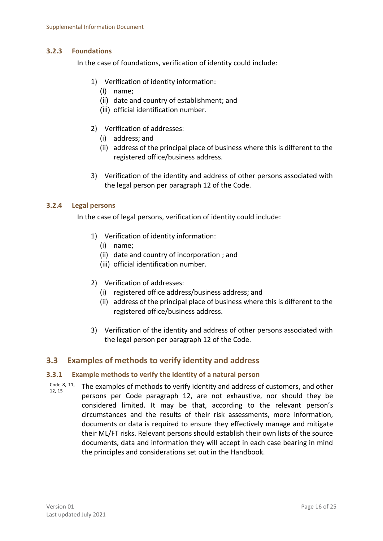#### <span id="page-15-0"></span>**3.2.3 Foundations**

In the case of foundations, verification of identity could include:

- 1) Verification of identity information:
	- (i) name;
	- (ii) date and country of establishment; and
	- (iii) official identification number.
- 2) Verification of addresses:
	- (i) address; and
	- (ii) address of the principal place of business where this is different to the registered office/business address.
- 3) Verification of the identity and address of other persons associated with the legal person per paragraph 12 of the Code.

#### <span id="page-15-1"></span>**3.2.4 Legal persons**

In the case of legal persons, verification of identity could include:

- 1) Verification of identity information:
	- (i) name;
	- (ii) date and country of incorporation ; and
	- (iii) official identification number.
- 2) Verification of addresses:
	- (i) registered office address/business address; and
	- (ii) address of the principal place of business where this is different to the registered office/business address.
- 3) Verification of the identity and address of other persons associated with the legal person per paragraph 12 of the Code.

# <span id="page-15-2"></span>**3.3 Examples of methods to verify identity and address**

#### <span id="page-15-3"></span>**3.3.1 Example methods to verify the identity of a natural person**

Code 8, 11, 12, 15 The examples of methods to verify identity and address of customers, and other persons per Code paragraph 12, are not exhaustive, nor should they be considered limited. It may be that, according to the relevant person's circumstances and the results of their risk assessments, more information, documents or data is required to ensure they effectively manage and mitigate their ML/FT risks. Relevant persons should establish their own lists of the source documents, data and information they will accept in each case bearing in mind the principles and considerations set out in the Handbook.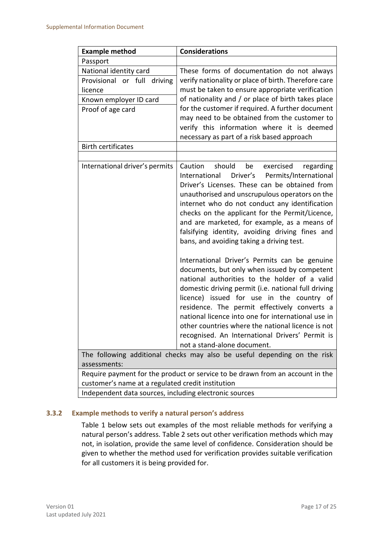| <b>Example method</b>                                                                                                              | <b>Considerations</b>                                                                                                                                                                                                                                                                                                                                                                                                                                                                                         |  |  |  |  |
|------------------------------------------------------------------------------------------------------------------------------------|---------------------------------------------------------------------------------------------------------------------------------------------------------------------------------------------------------------------------------------------------------------------------------------------------------------------------------------------------------------------------------------------------------------------------------------------------------------------------------------------------------------|--|--|--|--|
| Passport                                                                                                                           |                                                                                                                                                                                                                                                                                                                                                                                                                                                                                                               |  |  |  |  |
| National identity card<br>Provisional or full driving<br>licence                                                                   | These forms of documentation do not always<br>verify nationality or place of birth. Therefore care<br>must be taken to ensure appropriate verification                                                                                                                                                                                                                                                                                                                                                        |  |  |  |  |
| Known employer ID card                                                                                                             | of nationality and / or place of birth takes place                                                                                                                                                                                                                                                                                                                                                                                                                                                            |  |  |  |  |
| Proof of age card                                                                                                                  | for the customer if required. A further document<br>may need to be obtained from the customer to<br>verify this information where it is deemed<br>necessary as part of a risk based approach                                                                                                                                                                                                                                                                                                                  |  |  |  |  |
| <b>Birth certificates</b>                                                                                                          |                                                                                                                                                                                                                                                                                                                                                                                                                                                                                                               |  |  |  |  |
|                                                                                                                                    |                                                                                                                                                                                                                                                                                                                                                                                                                                                                                                               |  |  |  |  |
| International driver's permits                                                                                                     | should<br>Caution<br>be<br>exercised<br>regarding<br>International<br>Driver's Permits/International<br>Driver's Licenses. These can be obtained from<br>unauthorised and unscrupulous operators on the<br>internet who do not conduct any identification<br>checks on the applicant for the Permit/Licence,<br>and are marketed, for example, as a means of<br>falsifying identity, avoiding driving fines and<br>bans, and avoiding taking a driving test.<br>International Driver's Permits can be genuine |  |  |  |  |
|                                                                                                                                    | documents, but only when issued by competent<br>national authorities to the holder of a valid<br>domestic driving permit (i.e. national full driving<br>licence) issued for use in the country of<br>residence. The permit effectively converts a<br>national licence into one for international use in<br>other countries where the national licence is not<br>recognised. An International Drivers' Permit is<br>not a stand-alone document.                                                                |  |  |  |  |
| The following additional checks may also be useful depending on the risk                                                           |                                                                                                                                                                                                                                                                                                                                                                                                                                                                                                               |  |  |  |  |
| assessments:                                                                                                                       |                                                                                                                                                                                                                                                                                                                                                                                                                                                                                                               |  |  |  |  |
| Require payment for the product or service to be drawn from an account in the<br>customer's name at a regulated credit institution |                                                                                                                                                                                                                                                                                                                                                                                                                                                                                                               |  |  |  |  |
|                                                                                                                                    |                                                                                                                                                                                                                                                                                                                                                                                                                                                                                                               |  |  |  |  |

Independent data sources, including electronic sources

#### <span id="page-16-0"></span>**3.3.2 Example methods to verify a natural person's address**

Table 1 below sets out examples of the most reliable methods for verifying a natural person's address. Table 2 sets out other verification methods which may not, in isolation, provide the same level of confidence. Consideration should be given to whether the method used for verification provides suitable verification for all customers it is being provided for.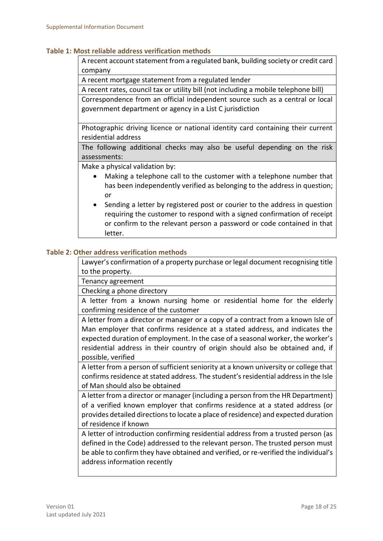#### **Table 1: Most reliable address verification methods**

A recent account statement from a regulated bank, building society or credit card company

A recent mortgage statement from a regulated lender

A recent rates, council tax or utility bill (not including a mobile telephone bill)

Correspondence from an official independent source such as a central or local government department or agency in a List C jurisdiction

Photographic driving licence or national identity card containing their current residential address

The following additional checks may also be useful depending on the risk assessments:

Make a physical validation by:

- Making a telephone call to the customer with a telephone number that has been independently verified as belonging to the address in question; or
- Sending a letter by registered post or courier to the address in question requiring the customer to respond with a signed confirmation of receipt or confirm to the relevant person a password or code contained in that letter.

#### **Table 2: Other address verification methods**

Lawyer's confirmation of a property purchase or legal document recognising title to the property.

Tenancy agreement

Checking a phone directory

A letter from a known nursing home or residential home for the elderly confirming residence of the customer

A letter from a director or manager or a copy of a contract from a known Isle of Man employer that confirms residence at a stated address, and indicates the expected duration of employment. In the case of a seasonal worker, the worker's residential address in their country of origin should also be obtained and, if possible, verified

A letter from a person of sufficient seniority at a known university or college that confirms residence at stated address. The student's residential address in the Isle of Man should also be obtained

A letter from a director or manager (including a person from the HR Department) of a verified known employer that confirms residence at a stated address (or provides detailed directions to locate a place of residence) and expected duration of residence if known

A letter of introduction confirming residential address from a trusted person (as defined in the Code) addressed to the relevant person. The trusted person must be able to confirm they have obtained and verified, or re-verified the individual's address information recently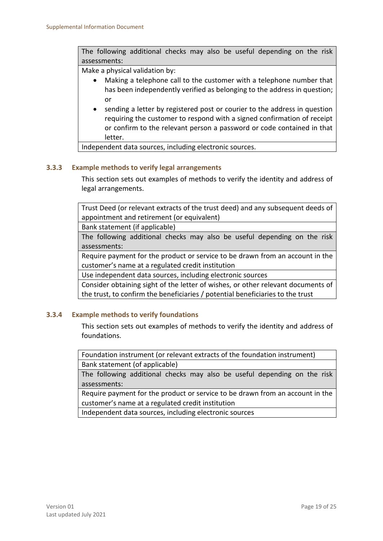The following additional checks may also be useful depending on the risk assessments:

Make a physical validation by:

- Making a telephone call to the customer with a telephone number that has been independently verified as belonging to the address in question; or
- sending a letter by registered post or courier to the address in question requiring the customer to respond with a signed confirmation of receipt or confirm to the relevant person a password or code contained in that letter.

Independent data sources, including electronic sources.

#### <span id="page-18-0"></span>**3.3.3 Example methods to verify legal arrangements**

This section sets out examples of methods to verify the identity and address of legal arrangements.

Trust Deed (or relevant extracts of the trust deed) and any subsequent deeds of appointment and retirement (or equivalent)

Bank statement (if applicable)

The following additional checks may also be useful depending on the risk assessments:

Require payment for the product or service to be drawn from an account in the customer's name at a regulated credit institution

Use independent data sources, including electronic sources

Consider obtaining sight of the letter of wishes, or other relevant documents of the trust, to confirm the beneficiaries / potential beneficiaries to the trust

#### <span id="page-18-1"></span>**3.3.4 Example methods to verify foundations**

This section sets out examples of methods to verify the identity and address of foundations.

Foundation instrument (or relevant extracts of the foundation instrument) Bank statement (of applicable)

The following additional checks may also be useful depending on the risk assessments:

Require payment for the product or service to be drawn from an account in the customer's name at a regulated credit institution

Independent data sources, including electronic sources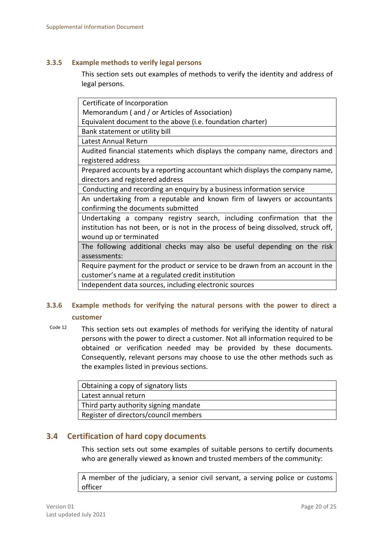#### <span id="page-19-0"></span>**3.3.5 Example methods to verify legal persons**

This section sets out examples of methods to verify the identity and address of legal persons.

| Certificate of Incorporation                                                       |  |  |  |  |  |
|------------------------------------------------------------------------------------|--|--|--|--|--|
| Memorandum (and / or Articles of Association)                                      |  |  |  |  |  |
| Equivalent document to the above (i.e. foundation charter)                         |  |  |  |  |  |
| Bank statement or utility bill                                                     |  |  |  |  |  |
| Latest Annual Return                                                               |  |  |  |  |  |
| Audited financial statements which displays the company name, directors and        |  |  |  |  |  |
| registered address                                                                 |  |  |  |  |  |
| Prepared accounts by a reporting accountant which displays the company name,       |  |  |  |  |  |
| directors and registered address                                                   |  |  |  |  |  |
| Conducting and recording an enquiry by a business information service              |  |  |  |  |  |
| An undertaking from a reputable and known firm of lawyers or accountants           |  |  |  |  |  |
| confirming the documents submitted                                                 |  |  |  |  |  |
| Undertaking a company registry search, including confirmation that the             |  |  |  |  |  |
| institution has not been, or is not in the process of being dissolved, struck off, |  |  |  |  |  |
| wound up or terminated                                                             |  |  |  |  |  |
| The following additional checks may also be useful depending on the risk           |  |  |  |  |  |
| assessments:                                                                       |  |  |  |  |  |
| Require payment for the product or service to be drawn from an account in the      |  |  |  |  |  |
| customer's name at a regulated credit institution                                  |  |  |  |  |  |
| Independent data sources, including electronic sources                             |  |  |  |  |  |
|                                                                                    |  |  |  |  |  |

# <span id="page-19-1"></span>**3.3.6 Example methods for verifying the natural persons with the power to direct a customer**

Code 12 This section sets out examples of methods for verifying the identity of natural persons with the power to direct a customer. Not all information required to be obtained or verification needed may be provided by these documents. Consequently, relevant persons may choose to use the other methods such as the examples listed in previous sections.

| Obtaining a copy of signatory lists   |  |  |  |  |
|---------------------------------------|--|--|--|--|
| Latest annual return                  |  |  |  |  |
| Third party authority signing mandate |  |  |  |  |
| Register of directors/council members |  |  |  |  |

# <span id="page-19-2"></span>**3.4 Certification of hard copy documents**

This section sets out some examples of suitable persons to certify documents who are generally viewed as known and trusted members of the community:

A member of the judiciary, a senior civil servant, a serving police or customs officer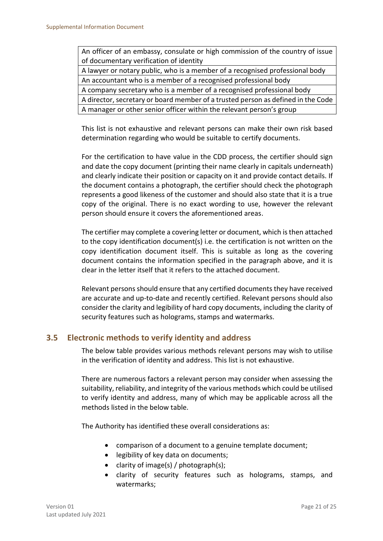An officer of an embassy, consulate or high commission of the country of issue of documentary verification of identity

A lawyer or notary public, who is a member of a recognised professional body An accountant who is a member of a recognised professional body

A company secretary who is a member of a recognised professional body

A director, secretary or board member of a trusted person as defined in the Code A manager or other senior officer within the relevant person's group

This list is not exhaustive and relevant persons can make their own risk based determination regarding who would be suitable to certify documents.

For the certification to have value in the CDD process, the certifier should sign and date the copy document (printing their name clearly in capitals underneath) and clearly indicate their position or capacity on it and provide contact details. If the document contains a photograph, the certifier should check the photograph represents a good likeness of the customer and should also state that it is a true copy of the original. There is no exact wording to use, however the relevant person should ensure it covers the aforementioned areas.

The certifier may complete a covering letter or document, which is then attached to the copy identification document(s) i.e. the certification is not written on the copy identification document itself. This is suitable as long as the covering document contains the information specified in the paragraph above, and it is clear in the letter itself that it refers to the attached document.

Relevant persons should ensure that any certified documents they have received are accurate and up-to-date and recently certified. Relevant persons should also consider the clarity and legibility of hard copy documents, including the clarity of security features such as holograms, stamps and watermarks.

# <span id="page-20-0"></span>**3.5 Electronic methods to verify identity and address**

The below table provides various methods relevant persons may wish to utilise in the verification of identity and address. This list is not exhaustive.

There are numerous factors a relevant person may consider when assessing the suitability, reliability, and integrity of the various methods which could be utilised to verify identity and address, many of which may be applicable across all the methods listed in the below table.

The Authority has identified these overall considerations as:

- comparison of a document to a genuine template document;
- **.** legibility of key data on documents;
- clarity of image(s) / photograph(s);
- clarity of security features such as holograms, stamps, and watermarks;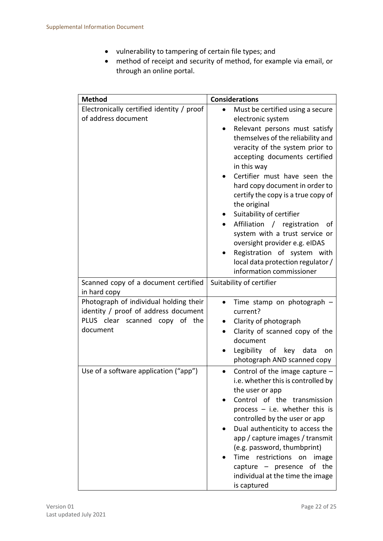- vulnerability to tampering of certain file types; and
- method of receipt and security of method, for example via email, or through an online portal.

| <b>Method</b>                                                                                                                | <b>Considerations</b>                                                                                                                                                                                                                                                                                                                                                                                                                                                                                                                                                                                            |  |
|------------------------------------------------------------------------------------------------------------------------------|------------------------------------------------------------------------------------------------------------------------------------------------------------------------------------------------------------------------------------------------------------------------------------------------------------------------------------------------------------------------------------------------------------------------------------------------------------------------------------------------------------------------------------------------------------------------------------------------------------------|--|
| Electronically certified identity / proof<br>of address document                                                             | Must be certified using a secure<br>$\bullet$<br>electronic system<br>Relevant persons must satisfy<br>$\bullet$<br>themselves of the reliability and<br>veracity of the system prior to<br>accepting documents certified<br>in this way<br>Certifier must have seen the<br>hard copy document in order to<br>certify the copy is a true copy of<br>the original<br>Suitability of certifier<br>$\bullet$<br>Affiliation / registration<br>of<br>system with a trust service or<br>oversight provider e.g. eIDAS<br>Registration of system with<br>local data protection regulator /<br>information commissioner |  |
| Scanned copy of a document certified<br>in hard copy                                                                         | Suitability of certifier                                                                                                                                                                                                                                                                                                                                                                                                                                                                                                                                                                                         |  |
| Photograph of individual holding their<br>identity / proof of address document<br>PLUS clear scanned copy of the<br>document | Time stamp on photograph<br>$\bullet$<br>current?<br>Clarity of photograph<br>Clarity of scanned copy of the<br>$\bullet$<br>document<br>Legibility of key data<br>on<br>photograph AND scanned copy                                                                                                                                                                                                                                                                                                                                                                                                             |  |
| Use of a software application ("app")                                                                                        | Control of the image capture $-$<br>$\bullet$<br>i.e. whether this is controlled by<br>the user or app<br>Control of the transmission<br>process $-$ i.e. whether this is<br>controlled by the user or app<br>Dual authenticity to access the<br>app / capture images / transmit<br>(e.g. password, thumbprint)<br>Time restrictions on image<br>of the<br>capture - presence<br>individual at the time the image<br>is captured                                                                                                                                                                                 |  |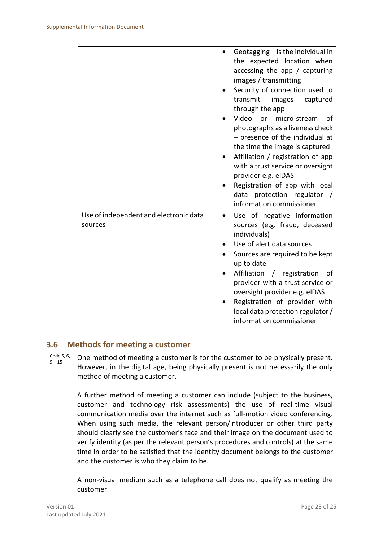|                                                   | Geotagging $-$ is the individual in<br>the expected location when<br>accessing the app $/$ capturing<br>images / transmitting<br>Security of connection used to<br>transmit<br>images<br>captured<br>through the app<br>Video<br>or<br>micro-stream<br>Ωt<br>photographs as a liveness check<br>$-$ presence of the individual at<br>the time the image is captured<br>Affiliation / registration of app<br>with a trust service or oversight<br>provider e.g. eIDAS<br>Registration of app with local<br>data protection regulator /<br>information commissioner |
|---------------------------------------------------|-------------------------------------------------------------------------------------------------------------------------------------------------------------------------------------------------------------------------------------------------------------------------------------------------------------------------------------------------------------------------------------------------------------------------------------------------------------------------------------------------------------------------------------------------------------------|
| Use of independent and electronic data<br>sources | Use of negative information<br>sources (e.g. fraud, deceased<br>individuals)<br>Use of alert data sources<br>Sources are required to be kept<br>up to date<br>Affiliation / registration<br>of<br>provider with a trust service or<br>oversight provider e.g. eIDAS<br>Registration of provider with<br>local data protection regulator /<br>information commissioner                                                                                                                                                                                             |

#### <span id="page-22-0"></span>**3.6 Methods for meeting a customer**

Code 5, 6, 9, 15 One method of meeting a customer is for the customer to be physically present. However, in the digital age, being physically present is not necessarily the only method of meeting a customer.

> A further method of meeting a customer can include (subject to the business, customer and technology risk assessments) the use of real-time visual communication media over the internet such as full-motion video conferencing. When using such media, the relevant person/introducer or other third party should clearly see the customer's face and their image on the document used to verify identity (as per the relevant person's procedures and controls) at the same time in order to be satisfied that the identity document belongs to the customer and the customer is who they claim to be.

> A non-visual medium such as a telephone call does not qualify as meeting the customer.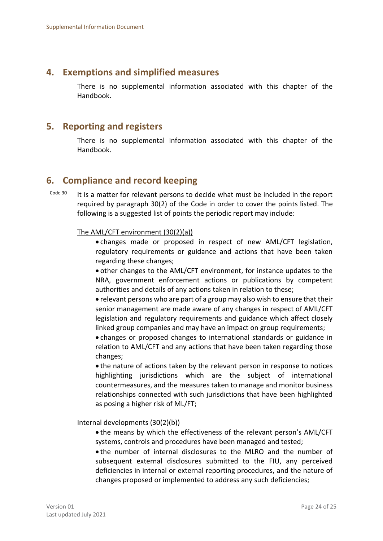## <span id="page-23-0"></span>**4. Exemptions and simplified measures**

There is no supplemental information associated with this chapter of the Handbook.

## <span id="page-23-1"></span>**5. Reporting and registers**

There is no supplemental information associated with this chapter of the Handbook.

# <span id="page-23-2"></span>**6. Compliance and record keeping**

Code 30 It is a matter for relevant persons to decide what must be included in the report required by paragraph 30(2) of the Code in order to cover the points listed. The following is a suggested list of points the periodic report may include:

#### The AML/CFT environment (30(2)(a))

 changes made or proposed in respect of new AML/CFT legislation, regulatory requirements or guidance and actions that have been taken regarding these changes;

 other changes to the AML/CFT environment, for instance updates to the NRA, government enforcement actions or publications by competent authorities and details of any actions taken in relation to these;

 relevant persons who are part of a group may also wish to ensure that their senior management are made aware of any changes in respect of AML/CFT legislation and regulatory requirements and guidance which affect closely linked group companies and may have an impact on group requirements;

 changes or proposed changes to international standards or guidance in relation to AML/CFT and any actions that have been taken regarding those changes;

 the nature of actions taken by the relevant person in response to notices highlighting jurisdictions which are the subject of international countermeasures, and the measures taken to manage and monitor business relationships connected with such jurisdictions that have been highlighted as posing a higher risk of ML/FT;

Internal developments (30(2)(b))

 the means by which the effectiveness of the relevant person's AML/CFT systems, controls and procedures have been managed and tested;

 the number of internal disclosures to the MLRO and the number of subsequent external disclosures submitted to the FIU, any perceived deficiencies in internal or external reporting procedures, and the nature of changes proposed or implemented to address any such deficiencies;